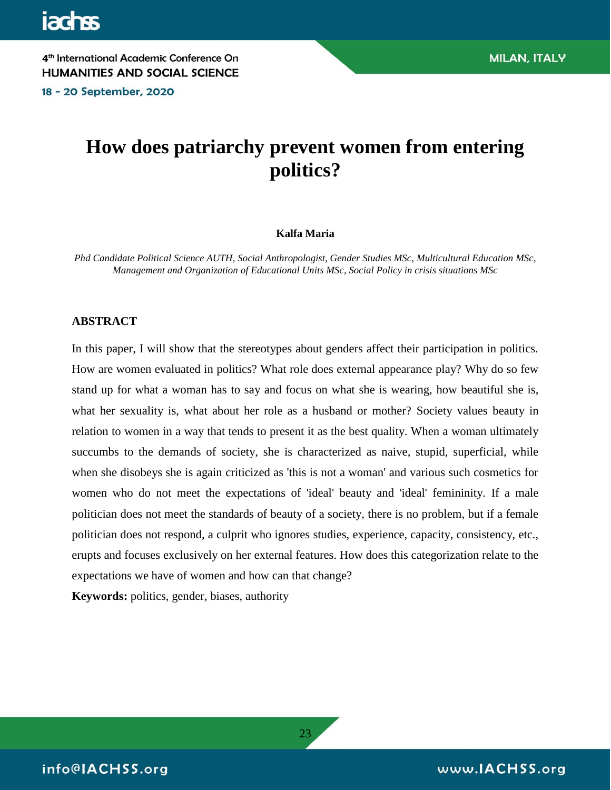18 - 20 September, 2020

# **How does patriarchy prevent women from entering politics?**

#### **Kalfa Maria**

*Phd Candidate Political Science AUTH, Social Anthropologist, Gender Studies MSc, Multicultural Education MSc, Management and Organization of Educational Units MSc, Social Policy in crisis situations MSc*

#### **ABSTRACT**

In this paper, I will show that the stereotypes about genders affect their participation in politics. How are women evaluated in politics? What role does external appearance play? Why do so few stand up for what a woman has to say and focus on what she is wearing, how beautiful she is, what her sexuality is, what about her role as a husband or mother? Society values beauty in relation to women in a way that tends to present it as the best quality. When a woman ultimately succumbs to the demands of society, she is characterized as naive, stupid, superficial, while when she disobeys she is again criticized as 'this is not a woman' and various such cosmetics for women who do not meet the expectations of 'ideal' beauty and 'ideal' femininity. If a male politician does not meet the standards of beauty of a society, there is no problem, but if a female politician does not respond, a culprit who ignores studies, experience, capacity, consistency, etc., erupts and focuses exclusively on her external features. How does this categorization relate to the expectations we have of women and how can that change?

23

**Keywords:** politics, gender, biases, authority

info@IACHSS.org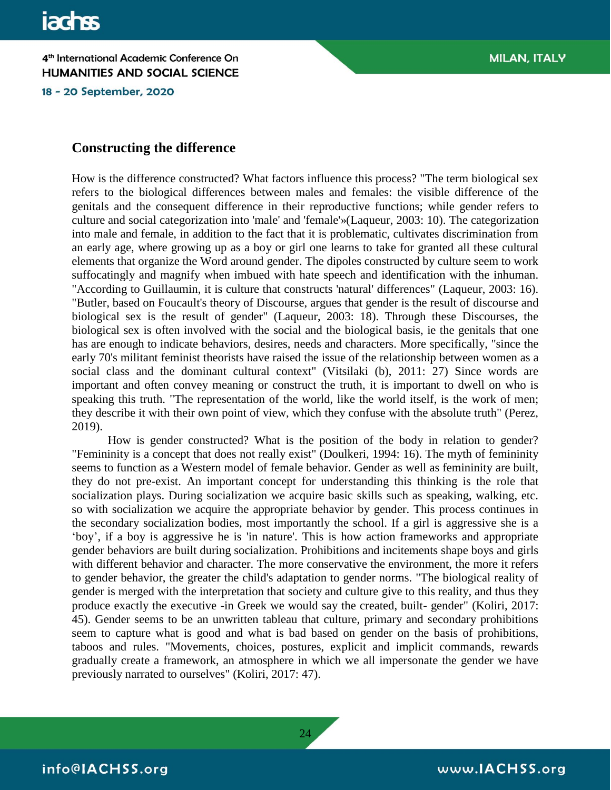18 - 20 September, 2020

#### **Constructing the difference**

How is the difference constructed? What factors influence this process? "The term biological sex refers to the biological differences between males and females: the visible difference of the genitals and the consequent difference in their reproductive functions; while gender refers to culture and social categorization into 'male' and 'female'»(Laqueur, 2003: 10). The categorization into male and female, in addition to the fact that it is problematic, cultivates discrimination from an early age, where growing up as a boy or girl one learns to take for granted all these cultural elements that organize the Word around gender. The dipoles constructed by culture seem to work suffocatingly and magnify when imbued with hate speech and identification with the inhuman. "According to Guillaumin, it is culture that constructs 'natural' differences" (Laqueur, 2003: 16). "Butler, based on Foucault's theory of Discourse, argues that gender is the result of discourse and biological sex is the result of gender" (Laqueur, 2003: 18). Through these Discourses, the biological sex is often involved with the social and the biological basis, ie the genitals that one has are enough to indicate behaviors, desires, needs and characters. More specifically, "since the early 70's militant feminist theorists have raised the issue of the relationship between women as a social class and the dominant cultural context" (Vitsilaki (b), 2011: 27) Since words are important and often convey meaning or construct the truth, it is important to dwell on who is speaking this truth. "The representation of the world, like the world itself, is the work of men; they describe it with their own point of view, which they confuse with the absolute truth" (Perez, 2019).

How is gender constructed? What is the position of the body in relation to gender? "Femininity is a concept that does not really exist" (Doulkeri, 1994: 16). The myth of femininity seems to function as a Western model of female behavior. Gender as well as femininity are built, they do not pre-exist. An important concept for understanding this thinking is the role that socialization plays. During socialization we acquire basic skills such as speaking, walking, etc. so with socialization we acquire the appropriate behavior by gender. This process continues in the secondary socialization bodies, most importantly the school. If a girl is aggressive she is a 'boy', if a boy is aggressive he is 'in nature'. This is how action frameworks and appropriate gender behaviors are built during socialization. Prohibitions and incitements shape boys and girls with different behavior and character. The more conservative the environment, the more it refers to gender behavior, the greater the child's adaptation to gender norms. "The biological reality of gender is merged with the interpretation that society and culture give to this reality, and thus they produce exactly the executive -in Greek we would say the created, built- gender" (Koliri, 2017: 45). Gender seems to be an unwritten tableau that culture, primary and secondary prohibitions seem to capture what is good and what is bad based on gender on the basis of prohibitions, taboos and rules. "Movements, choices, postures, explicit and implicit commands, rewards gradually create a framework, an atmosphere in which we all impersonate the gender we have previously narrated to ourselves" (Koliri, 2017: 47).

24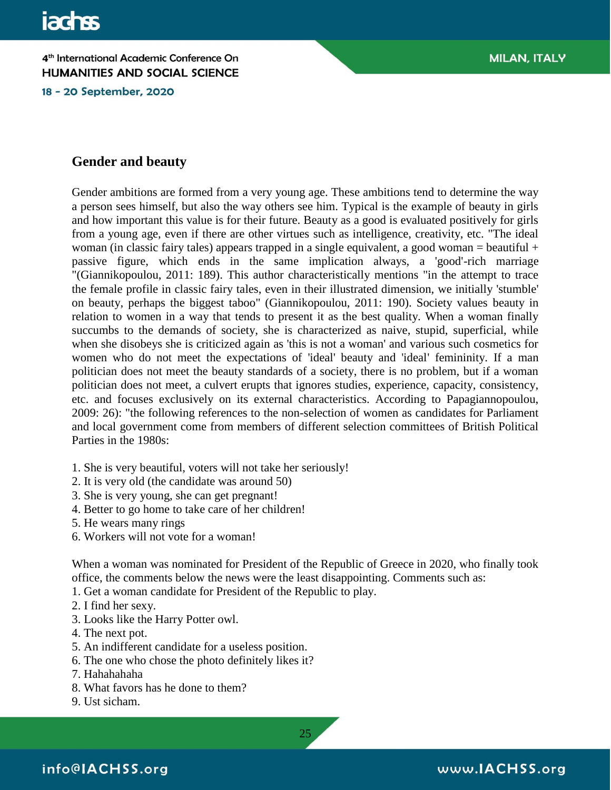18 - 20 September, 2020

## **Gender and beauty**

Gender ambitions are formed from a very young age. These ambitions tend to determine the way a person sees himself, but also the way others see him. Typical is the example of beauty in girls and how important this value is for their future. Beauty as a good is evaluated positively for girls from a young age, even if there are other virtues such as intelligence, creativity, etc. "The ideal woman (in classic fairy tales) appears trapped in a single equivalent, a good woman = beautiful + passive figure, which ends in the same implication always, a 'good'-rich marriage "(Giannikopoulou, 2011: 189). This author characteristically mentions "in the attempt to trace the female profile in classic fairy tales, even in their illustrated dimension, we initially 'stumble' on beauty, perhaps the biggest taboo" (Giannikopoulou, 2011: 190). Society values beauty in relation to women in a way that tends to present it as the best quality. When a woman finally succumbs to the demands of society, she is characterized as naive, stupid, superficial, while when she disobeys she is criticized again as 'this is not a woman' and various such cosmetics for women who do not meet the expectations of 'ideal' beauty and 'ideal' femininity. If a man politician does not meet the beauty standards of a society, there is no problem, but if a woman politician does not meet, a culvert erupts that ignores studies, experience, capacity, consistency, etc. and focuses exclusively on its external characteristics. According to Papagiannopoulou, 2009: 26): "the following references to the non-selection of women as candidates for Parliament and local government come from members of different selection committees of British Political Parties in the 1980s:

- 1. She is very beautiful, voters will not take her seriously!
- 2. It is very old (the candidate was around 50)
- 3. She is very young, she can get pregnant!
- 4. Better to go home to take care of her children!
- 5. He wears many rings
- 6. Workers will not vote for a woman!

When a woman was nominated for President of the Republic of Greece in 2020, who finally took office, the comments below the news were the least disappointing. Comments such as:

25

- 1. Get a woman candidate for President of the Republic to play.
- 2. I find her sexy.
- 3. Looks like the Harry Potter owl.
- 4. The next pot.
- 5. An indifferent candidate for a useless position.
- 6. The one who chose the photo definitely likes it?
- 7. Hahahahaha
- 8. What favors has he done to them?
- 9. Ust sicham.

info@IACHSS.org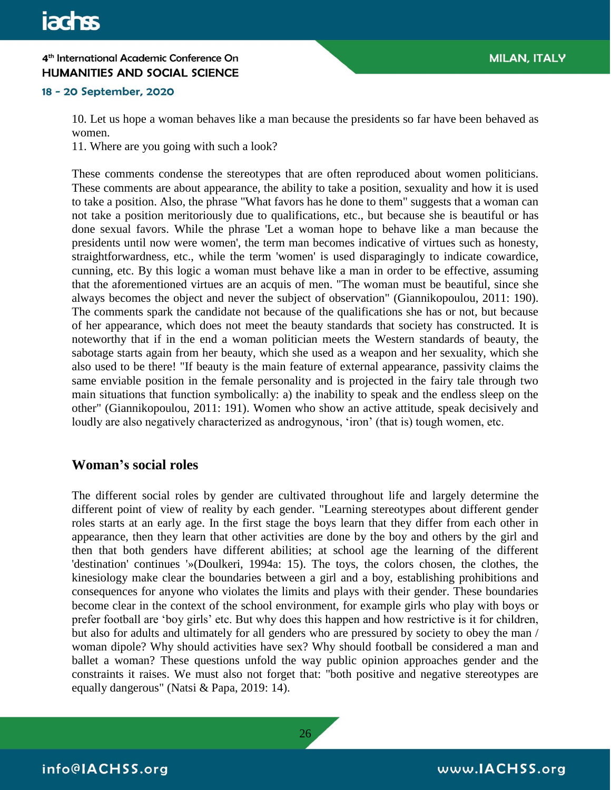#### 18 - 20 September, 2020

10. Let us hope a woman behaves like a man because the presidents so far have been behaved as women.

11. Where are you going with such a look?

These comments condense the stereotypes that are often reproduced about women politicians. These comments are about appearance, the ability to take a position, sexuality and how it is used to take a position. Also, the phrase "What favors has he done to them" suggests that a woman can not take a position meritoriously due to qualifications, etc., but because she is beautiful or has done sexual favors. While the phrase 'Let a woman hope to behave like a man because the presidents until now were women', the term man becomes indicative of virtues such as honesty, straightforwardness, etc., while the term 'women' is used disparagingly to indicate cowardice, cunning, etc. By this logic a woman must behave like a man in order to be effective, assuming that the aforementioned virtues are an acquis of men. "The woman must be beautiful, since she always becomes the object and never the subject of observation" (Giannikopoulou, 2011: 190). The comments spark the candidate not because of the qualifications she has or not, but because of her appearance, which does not meet the beauty standards that society has constructed. It is noteworthy that if in the end a woman politician meets the Western standards of beauty, the sabotage starts again from her beauty, which she used as a weapon and her sexuality, which she also used to be there! "If beauty is the main feature of external appearance, passivity claims the same enviable position in the female personality and is projected in the fairy tale through two main situations that function symbolically: a) the inability to speak and the endless sleep on the other" (Giannikopoulou, 2011: 191). Women who show an active attitude, speak decisively and loudly are also negatively characterized as androgynous, 'iron' (that is) tough women, etc.

## **Woman's social roles**

The different social roles by gender are cultivated throughout life and largely determine the different point of view of reality by each gender. "Learning stereotypes about different gender roles starts at an early age. In the first stage the boys learn that they differ from each other in appearance, then they learn that other activities are done by the boy and others by the girl and then that both genders have different abilities; at school age the learning of the different 'destination' continues '»(Doulkeri, 1994a: 15). The toys, the colors chosen, the clothes, the kinesiology make clear the boundaries between a girl and a boy, establishing prohibitions and consequences for anyone who violates the limits and plays with their gender. These boundaries become clear in the context of the school environment, for example girls who play with boys or prefer football are 'boy girls' etc. But why does this happen and how restrictive is it for children, but also for adults and ultimately for all genders who are pressured by society to obey the man / woman dipole? Why should activities have sex? Why should football be considered a man and ballet a woman? These questions unfold the way public opinion approaches gender and the constraints it raises. We must also not forget that: "both positive and negative stereotypes are equally dangerous" (Natsi & Papa, 2019: 14).



info@IACHSS.org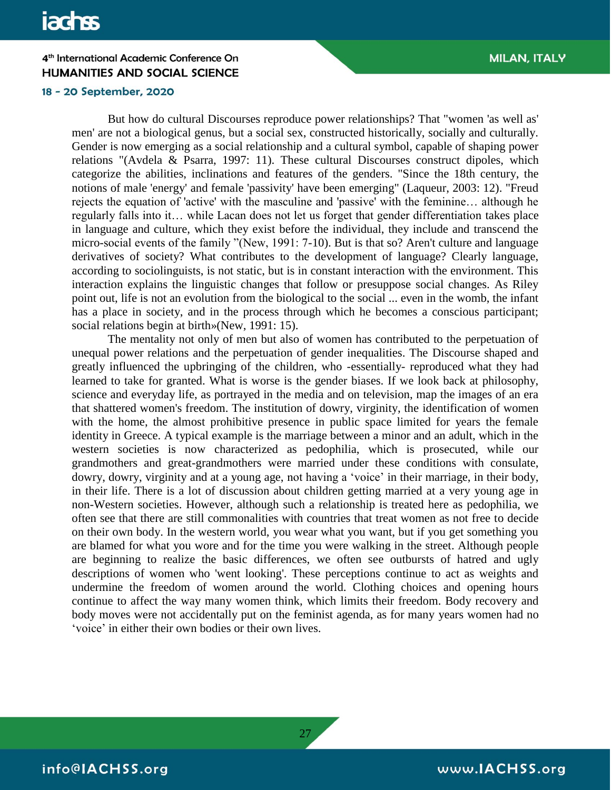#### 18 - 20 September, 2020

But how do cultural Discourses reproduce power relationships? That "women 'as well as' men' are not a biological genus, but a social sex, constructed historically, socially and culturally. Gender is now emerging as a social relationship and a cultural symbol, capable of shaping power relations "(Avdela & Psarra, 1997: 11). These cultural Discourses construct dipoles, which categorize the abilities, inclinations and features of the genders. "Since the 18th century, the notions of male 'energy' and female 'passivity' have been emerging" (Laqueur, 2003: 12). "Freud rejects the equation of 'active' with the masculine and 'passive' with the feminine… although he regularly falls into it… while Lacan does not let us forget that gender differentiation takes place in language and culture, which they exist before the individual, they include and transcend the micro-social events of the family "(New, 1991: 7-10). But is that so? Aren't culture and language derivatives of society? What contributes to the development of language? Clearly language, according to sociolinguists, is not static, but is in constant interaction with the environment. This interaction explains the linguistic changes that follow or presuppose social changes. As Riley point out, life is not an evolution from the biological to the social ... even in the womb, the infant has a place in society, and in the process through which he becomes a conscious participant; social relations begin at birth»(New, 1991: 15).

The mentality not only of men but also of women has contributed to the perpetuation of unequal power relations and the perpetuation of gender inequalities. The Discourse shaped and greatly influenced the upbringing of the children, who -essentially- reproduced what they had learned to take for granted. What is worse is the gender biases. If we look back at philosophy, science and everyday life, as portrayed in the media and on television, map the images of an era that shattered women's freedom. The institution of dowry, virginity, the identification of women with the home, the almost prohibitive presence in public space limited for years the female identity in Greece. A typical example is the marriage between a minor and an adult, which in the western societies is now characterized as pedophilia, which is prosecuted, while our grandmothers and great-grandmothers were married under these conditions with consulate, dowry, dowry, virginity and at a young age, not having a 'voice' in their marriage, in their body, in their life. There is a lot of discussion about children getting married at a very young age in non-Western societies. However, although such a relationship is treated here as pedophilia, we often see that there are still commonalities with countries that treat women as not free to decide on their own body. In the western world, you wear what you want, but if you get something you are blamed for what you wore and for the time you were walking in the street. Although people are beginning to realize the basic differences, we often see outbursts of hatred and ugly descriptions of women who 'went looking'. These perceptions continue to act as weights and undermine the freedom of women around the world. Clothing choices and opening hours continue to affect the way many women think, which limits their freedom. Body recovery and body moves were not accidentally put on the feminist agenda, as for many years women had no 'voice' in either their own bodies or their own lives.

27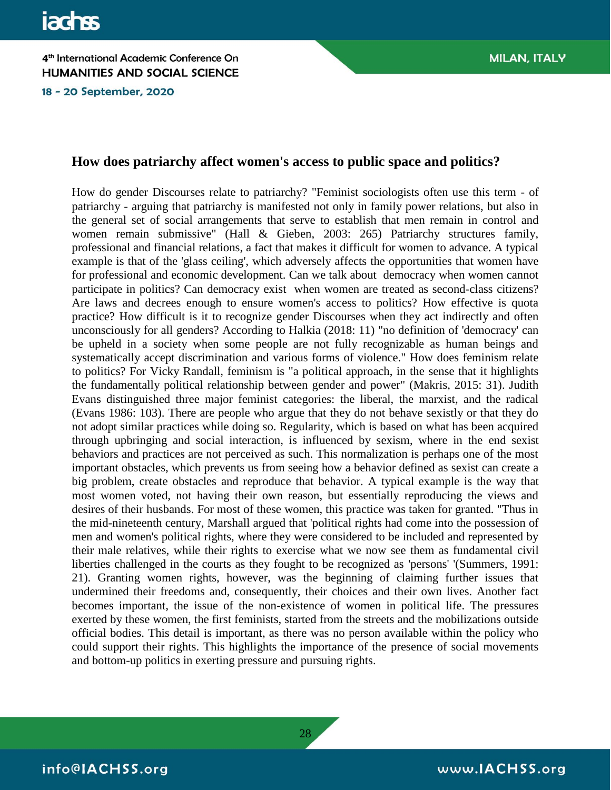18 - 20 September, 2020

## **How does patriarchy affect women's access to public space and politics?**

How do gender Discourses relate to patriarchy? "Feminist sociologists often use this term - of patriarchy - arguing that patriarchy is manifested not only in family power relations, but also in the general set of social arrangements that serve to establish that men remain in control and women remain submissive" (Hall & Gieben, 2003: 265) Patriarchy structures family, professional and financial relations, a fact that makes it difficult for women to advance. A typical example is that of the 'glass ceiling', which adversely affects the opportunities that women have for professional and economic development. Can we talk about democracy when women cannot participate in politics? Can democracy exist when women are treated as second-class citizens? Are laws and decrees enough to ensure women's access to politics? How effective is quota practice? How difficult is it to recognize gender Discourses when they act indirectly and often unconsciously for all genders? According to Halkia (2018: 11) "no definition of 'democracy' can be upheld in a society when some people are not fully recognizable as human beings and systematically accept discrimination and various forms of violence." How does feminism relate to politics? For Vicky Randall, feminism is "a political approach, in the sense that it highlights the fundamentally political relationship between gender and power" (Makris, 2015: 31). Judith Evans distinguished three major feminist categories: the liberal, the marxist, and the radical (Evans 1986: 103). There are people who argue that they do not behave sexistly or that they do not adopt similar practices while doing so. Regularity, which is based on what has been acquired through upbringing and social interaction, is influenced by sexism, where in the end sexist behaviors and practices are not perceived as such. This normalization is perhaps one of the most important obstacles, which prevents us from seeing how a behavior defined as sexist can create a big problem, create obstacles and reproduce that behavior. A typical example is the way that most women voted, not having their own reason, but essentially reproducing the views and desires of their husbands. For most of these women, this practice was taken for granted. "Thus in the mid-nineteenth century, Marshall argued that 'political rights had come into the possession of men and women's political rights, where they were considered to be included and represented by their male relatives, while their rights to exercise what we now see them as fundamental civil liberties challenged in the courts as they fought to be recognized as 'persons' '(Summers, 1991: 21). Granting women rights, however, was the beginning of claiming further issues that undermined their freedoms and, consequently, their choices and their own lives. Another fact becomes important, the issue of the non-existence of women in political life. The pressures exerted by these women, the first feminists, started from the streets and the mobilizations outside official bodies. This detail is important, as there was no person available within the policy who could support their rights. This highlights the importance of the presence of social movements and bottom-up politics in exerting pressure and pursuing rights.

28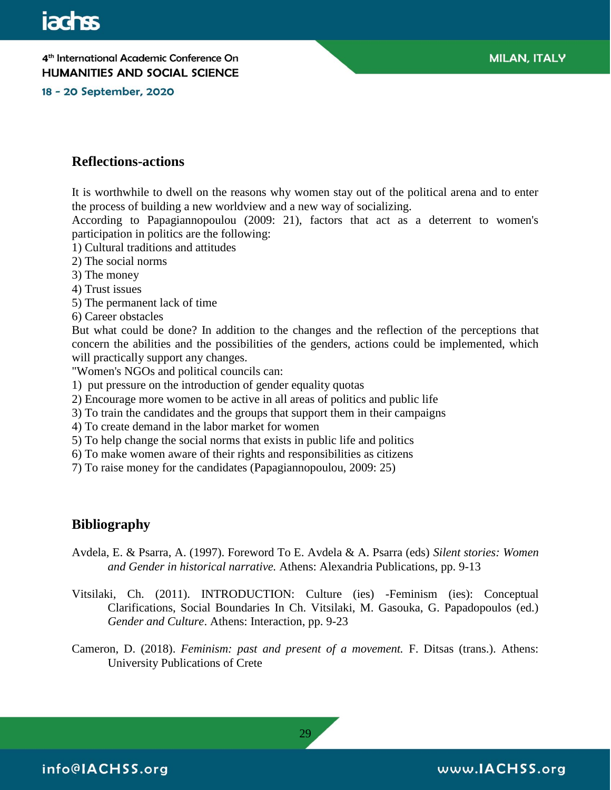18 - 20 September, 2020

## **Reflections-actions**

It is worthwhile to dwell on the reasons why women stay out of the political arena and to enter the process of building a new worldview and a new way of socializing.

According to Papagiannopoulou (2009: 21), factors that act as a deterrent to women's participation in politics are the following:

- 1) Cultural traditions and attitudes
- 2) The social norms
- 3) The money
- 4) Trust issues
- 5) The permanent lack of time
- 6) Career obstacles

But what could be done? In addition to the changes and the reflection of the perceptions that concern the abilities and the possibilities of the genders, actions could be implemented, which will practically support any changes.

"Women's NGOs and political councils can:

- 1) put pressure on the introduction of gender equality quotas
- 2) Encourage more women to be active in all areas of politics and public life
- 3) To train the candidates and the groups that support them in their campaigns
- 4) To create demand in the labor market for women
- 5) To help change the social norms that exists in public life and politics
- 6) To make women aware of their rights and responsibilities as citizens
- 7) To raise money for the candidates (Papagiannopoulou, 2009: 25)

#### **Bibliography**

- Avdela, E. & Psarra, A. (1997). Foreword To E. Avdela & A. Psarra (eds) *Silent stories: Women and Gender in historical narrative.* Athens: Alexandria Publications, pp. 9-13
- Vitsilaki, Ch. (2011). INTRODUCTION: Culture (ies) -Feminism (ies): Conceptual Clarifications, Social Boundaries In Ch. Vitsilaki, M. Gasouka, G. Papadopoulos (ed.) *Gender and Culture*. Athens: Interaction, pp. 9-23
- Cameron, D. (2018). *Feminism: past and present of a movement.* F. Ditsas (trans.). Athens: University Publications of Crete

info@IACHSS.org